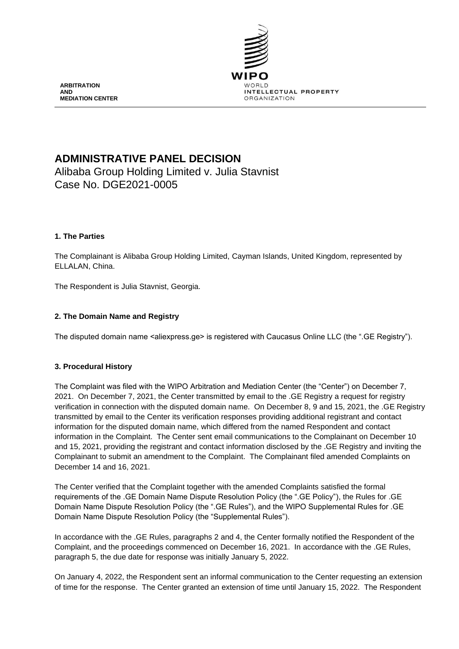

**ARBITRATION AND MEDIATION CENTER**

# **ADMINISTRATIVE PANEL DECISION**

Alibaba Group Holding Limited v. Julia Stavnist Case No. DGE2021-0005

# **1. The Parties**

The Complainant is Alibaba Group Holding Limited, Cayman Islands, United Kingdom, represented by ELLALAN, China.

The Respondent is Julia Stavnist, Georgia.

# **2. The Domain Name and Registry**

The disputed domain name <aliexpress.ge> is registered with Caucasus Online LLC (the ".GE Registry").

## **3. Procedural History**

The Complaint was filed with the WIPO Arbitration and Mediation Center (the "Center") on December 7, 2021. On December 7, 2021, the Center transmitted by email to the .GE Registry a request for registry verification in connection with the disputed domain name. On December 8, 9 and 15, 2021, the .GE Registry transmitted by email to the Center its verification responses providing additional registrant and contact information for the disputed domain name, which differed from the named Respondent and contact information in the Complaint. The Center sent email communications to the Complainant on December 10 and 15, 2021, providing the registrant and contact information disclosed by the .GE Registry and inviting the Complainant to submit an amendment to the Complaint. The Complainant filed amended Complaints on December 14 and 16, 2021.

The Center verified that the Complaint together with the amended Complaints satisfied the formal requirements of the .GE Domain Name Dispute Resolution Policy (the ".GE Policy"), the Rules for .GE Domain Name Dispute Resolution Policy (the ".GE Rules"), and the WIPO Supplemental Rules for .GE Domain Name Dispute Resolution Policy (the "Supplemental Rules").

In accordance with the .GE Rules, paragraphs 2 and 4, the Center formally notified the Respondent of the Complaint, and the proceedings commenced on December 16, 2021. In accordance with the .GE Rules, paragraph 5, the due date for response was initially January 5, 2022.

On January 4, 2022, the Respondent sent an informal communication to the Center requesting an extension of time for the response. The Center granted an extension of time until January 15, 2022. The Respondent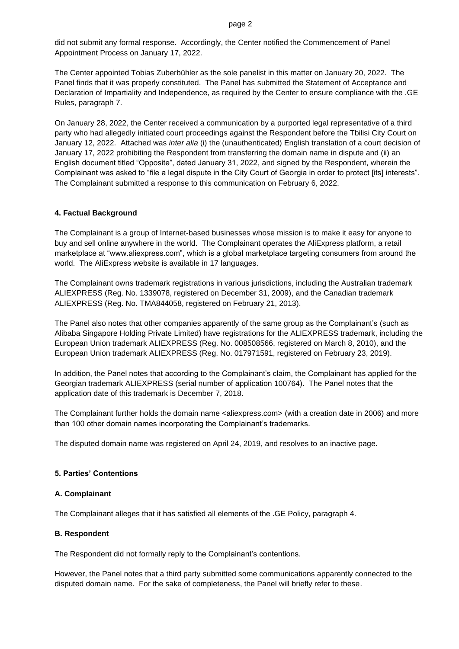did not submit any formal response. Accordingly, the Center notified the Commencement of Panel Appointment Process on January 17, 2022.

The Center appointed Tobias Zuberbühler as the sole panelist in this matter on January 20, 2022. The Panel finds that it was properly constituted. The Panel has submitted the Statement of Acceptance and Declaration of Impartiality and Independence, as required by the Center to ensure compliance with the .GE Rules, paragraph 7.

On January 28, 2022, the Center received a communication by a purported legal representative of a third party who had allegedly initiated court proceedings against the Respondent before the Tbilisi City Court on January 12, 2022. Attached was *inter alia* (i) the (unauthenticated) English translation of a court decision of January 17, 2022 prohibiting the Respondent from transferring the domain name in dispute and (ii) an English document titled "Opposite", dated January 31, 2022, and signed by the Respondent, wherein the Complainant was asked to "file a legal dispute in the City Court of Georgia in order to protect [its] interests". The Complainant submitted a response to this communication on February 6, 2022.

#### **4. Factual Background**

The Complainant is a group of Internet-based businesses whose mission is to make it easy for anyone to buy and sell online anywhere in the world. The Complainant operates the AliExpress platform, a retail marketplace at "www.aliexpress.com", which is a global marketplace targeting consumers from around the world. The AliExpress website is available in 17 languages.

The Complainant owns trademark registrations in various jurisdictions, including the Australian trademark ALIEXPRESS (Reg. No. 1339078, registered on December 31, 2009), and the Canadian trademark ALIEXPRESS (Reg. No. TMA844058, registered on February 21, 2013).

The Panel also notes that other companies apparently of the same group as the Complainant's (such as Alibaba Singapore Holding Private Limited) have registrations for the ALIEXPRESS trademark, including the European Union trademark ALIEXPRESS (Reg. No. 008508566, registered on March 8, 2010), and the European Union trademark ALIEXPRESS (Reg. No. 017971591, registered on February 23, 2019).

In addition, the Panel notes that according to the Complainant's claim, the Complainant has applied for the Georgian trademark ALIEXPRESS (serial number of application 100764). The Panel notes that the application date of this trademark is December 7, 2018.

The Complainant further holds the domain name <aliexpress.com> (with a creation date in 2006) and more than 100 other domain names incorporating the Complainant's trademarks.

The disputed domain name was registered on April 24, 2019, and resolves to an inactive page.

## **5. Parties' Contentions**

## **A. Complainant**

The Complainant alleges that it has satisfied all elements of the .GE Policy, paragraph 4.

#### **B. Respondent**

The Respondent did not formally reply to the Complainant's contentions.

However, the Panel notes that a third party submitted some communications apparently connected to the disputed domain name. For the sake of completeness, the Panel will briefly refer to these.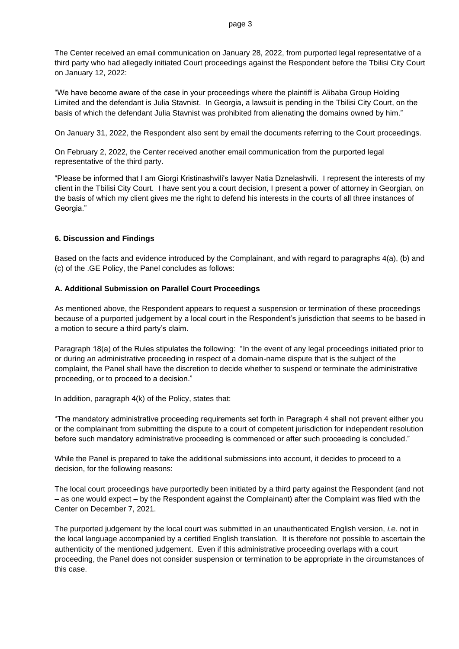The Center received an email communication on January 28, 2022, from purported legal representative of a third party who had allegedly initiated Court proceedings against the Respondent before the Tbilisi City Court on January 12, 2022:

"We have become aware of the case in your proceedings where the plaintiff is Alibaba Group Holding Limited and the defendant is Julia Stavnist. In Georgia, a lawsuit is pending in the Tbilisi City Court, on the basis of which the defendant Julia Stavnist was prohibited from alienating the domains owned by him."

On January 31, 2022, the Respondent also sent by email the documents referring to the Court proceedings.

On February 2, 2022, the Center received another email communication from the purported legal representative of the third party.

"Please be informed that I am Giorgi Kristinashvili's lawyer Natia Dznelashvili. I represent the interests of my client in the Tbilisi City Court. I have sent you a court decision, I present a power of attorney in Georgian, on the basis of which my client gives me the right to defend his interests in the courts of all three instances of Georgia."

## **6. Discussion and Findings**

Based on the facts and evidence introduced by the Complainant, and with regard to paragraphs 4(a), (b) and (c) of the .GE Policy, the Panel concludes as follows:

#### **A. Additional Submission on Parallel Court Proceedings**

As mentioned above, the Respondent appears to request a suspension or termination of these proceedings because of a purported judgement by a local court in the Respondent's jurisdiction that seems to be based in a motion to secure a third party's claim.

Paragraph 18(a) of the Rules stipulates the following: "In the event of any legal proceedings initiated prior to or during an administrative proceeding in respect of a domain-name dispute that is the subject of the complaint, the Panel shall have the discretion to decide whether to suspend or terminate the administrative proceeding, or to proceed to a decision."

In addition, paragraph 4(k) of the Policy, states that:

"The mandatory administrative proceeding requirements set forth in Paragraph 4 shall not prevent either you or the complainant from submitting the dispute to a court of competent jurisdiction for independent resolution before such mandatory administrative proceeding is commenced or after such proceeding is concluded."

While the Panel is prepared to take the additional submissions into account, it decides to proceed to a decision, for the following reasons:

The local court proceedings have purportedly been initiated by a third party against the Respondent (and not – as one would expect – by the Respondent against the Complainant) after the Complaint was filed with the Center on December 7, 2021.

The purported judgement by the local court was submitted in an unauthenticated English version, *i.e.* not in the local language accompanied by a certified English translation. It is therefore not possible to ascertain the authenticity of the mentioned judgement. Even if this administrative proceeding overlaps with a court proceeding, the Panel does not consider suspension or termination to be appropriate in the circumstances of this case.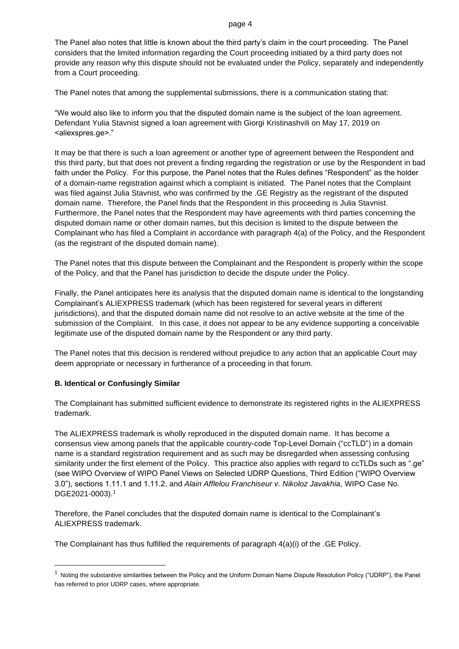#### page 4

The Panel also notes that little is known about the third party's claim in the court proceeding. The Panel considers that the limited information regarding the Court proceeding initiated by a third party does not provide any reason why this dispute should not be evaluated under the Policy, separately and independently from a Court proceeding.

The Panel notes that among the supplemental submissions, there is a communication stating that:

"We would also like to inform you that the disputed domain name is the subject of the loan agreement. Defendant Yulia Stavnist signed a loan agreement with Giorgi Kristinashvili on May 17, 2019 on <aliexspres.ge>."

It may be that there is such a loan agreement or another type of agreement between the Respondent and this third party, but that does not prevent a finding regarding the registration or use by the Respondent in bad faith under the Policy. For this purpose, the Panel notes that the Rules defines "Respondent" as the holder of a domain-name registration against which a complaint is initiated. The Panel notes that the Complaint was filed against Julia Stavnist, who was confirmed by the .GE Registry as the registrant of the disputed domain name. Therefore, the Panel finds that the Respondent in this proceeding is Julia Stavnist. Furthermore, the Panel notes that the Respondent may have agreements with third parties concerning the disputed domain name or other domain names, but this decision is limited to the dispute between the Complainant who has filed a Complaint in accordance with paragraph 4(a) of the Policy, and the Respondent (as the registrant of the disputed domain name).

The Panel notes that this dispute between the Complainant and the Respondent is properly within the scope of the Policy, and that the Panel has jurisdiction to decide the dispute under the Policy.

Finally, the Panel anticipates here its analysis that the disputed domain name is identical to the longstanding Complainant's ALIEXPRESS trademark (which has been registered for several years in different jurisdictions), and that the disputed domain name did not resolve to an active website at the time of the submission of the Complaint. In this case, it does not appear to be any evidence supporting a conceivable legitimate use of the disputed domain name by the Respondent or any third party.

The Panel notes that this decision is rendered without prejudice to any action that an applicable Court may deem appropriate or necessary in furtherance of a proceeding in that forum.

## **B. Identical or Confusingly Similar**

The Complainant has submitted sufficient evidence to demonstrate its registered rights in the ALIEXPRESS trademark.

The ALIEXPRESS trademark is wholly reproduced in the disputed domain name. It has become a consensus view among panels that the applicable country-code Top-Level Domain ("ccTLD") in a domain name is a standard registration requirement and as such may be disregarded when assessing confusing similarity under the first element of the Policy. This practice also applies with regard to ccTLDs such as ".ge" (see WIPO Overview of WIPO Panel Views on Selected UDRP Questions, Third Edition ("WIPO Overview 3.0"), sections 1.11.1 and 1.11.2, and *Alain Afflelou Franchiseur v. Nikoloz Javakhia*, WIPO Case No. DGE2021-0003).<sup>1</sup>

Therefore, the Panel concludes that the disputed domain name is identical to the Complainant's ALIEXPRESS trademark.

The Complainant has thus fulfilled the requirements of paragraph 4(a)(i) of the .GE Policy.

 $1$  Noting the substantive similarities between the Policy and the Uniform Domain Name Dispute Resolution Policy ("UDRP"), the Panel has referred to prior UDRP cases, where appropriate.